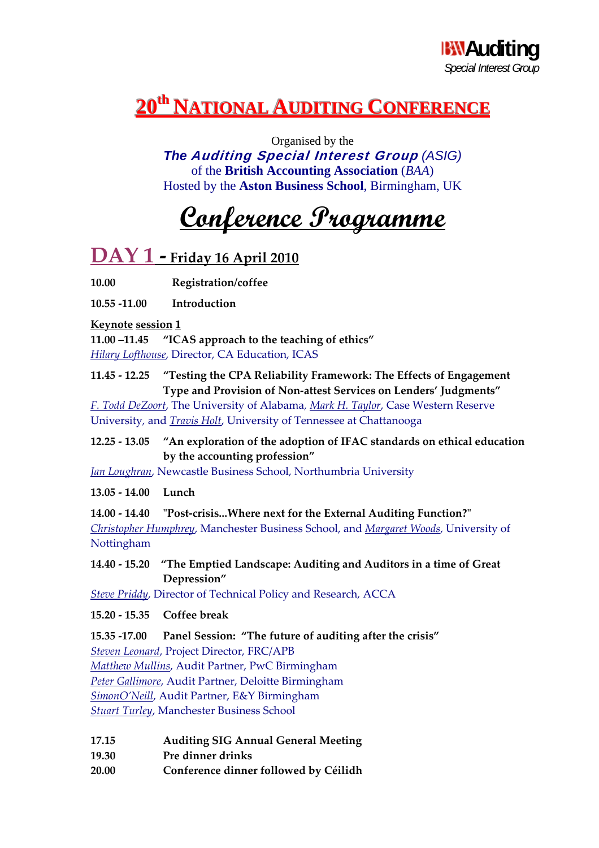### **20<sup>th</sup> NATIONAL AUDITING CONFERENCE**

Organised by the *The* **Auditing Special Interest Group** *(ASIG)* of the **British Accounting Association** (*BAA*) Hosted by the **Aston Business School**, Birmingham, UK

## **Conference Programme**

### **DAY 1 ‐ Friday <sup>16</sup> April <sup>2010</sup>**

**10.00 Registration/coffee**

**10.55 ‐11.00 Introduction**

#### **Keynote session 1**

**11.00 –11.45 "ICAS approach to the teaching of ethics"** *Hilary Lofthouse*, Director, CA Education, ICAS

**11.45 ‐ 12.25 "Testing the CPA Reliability Framework: The Effects of Engagement Type and Provision of Non‐attest Services on Lenders' Judgments"**

*F. Todd DeZoort*, The University of Alabama*, Mark H. Taylor*, Case Western Reserve University*,* and *Travis Holt*, University of Tennessee at Chattanooga

#### **12.25 ‐ 13.05 "An exploration of the adoption of IFAC standards on ethical education by the accounting profession"**

*Jan Loughran*, Newcastle Business School, Northumbria University

#### **13.05 ‐ 14.00 Lunch**

**14.00 ‐ 14.40 ʺPost‐crisis...Where next for the External Auditing Function?ʺ**  *Christopher Humphrey*, Manchester Business School, and *Margaret Woods*, University of Nottingham

#### **14.40 ‐ 15.20 "The Emptied Landscape: Auditing and Auditors in a time of Great Depression"**

*Steve Priddy*, Director of Technical Policy and Research, ACCA

**15.20 ‐ 15.35 Coffee break**

**15.35 ‐17.00 Panel Session: "The future of auditing after the crisis"** 

*Steven Leonard*, Project Director, FRC/APB *Matthew Mullins*, Audit Partner, PwC Birmingham *Peter Gallimore*, Audit Partner, Deloitte Birmingham

*SimonO'Neill*, Audit Partner, E&Y Birmingham

*Stuart Turley*, Manchester Business School

- **17.15 Auditing SIG Annual General Meeting**
- **19.30 Pre dinner drinks**
- **20.00 Conference dinner followed by Céilidh**